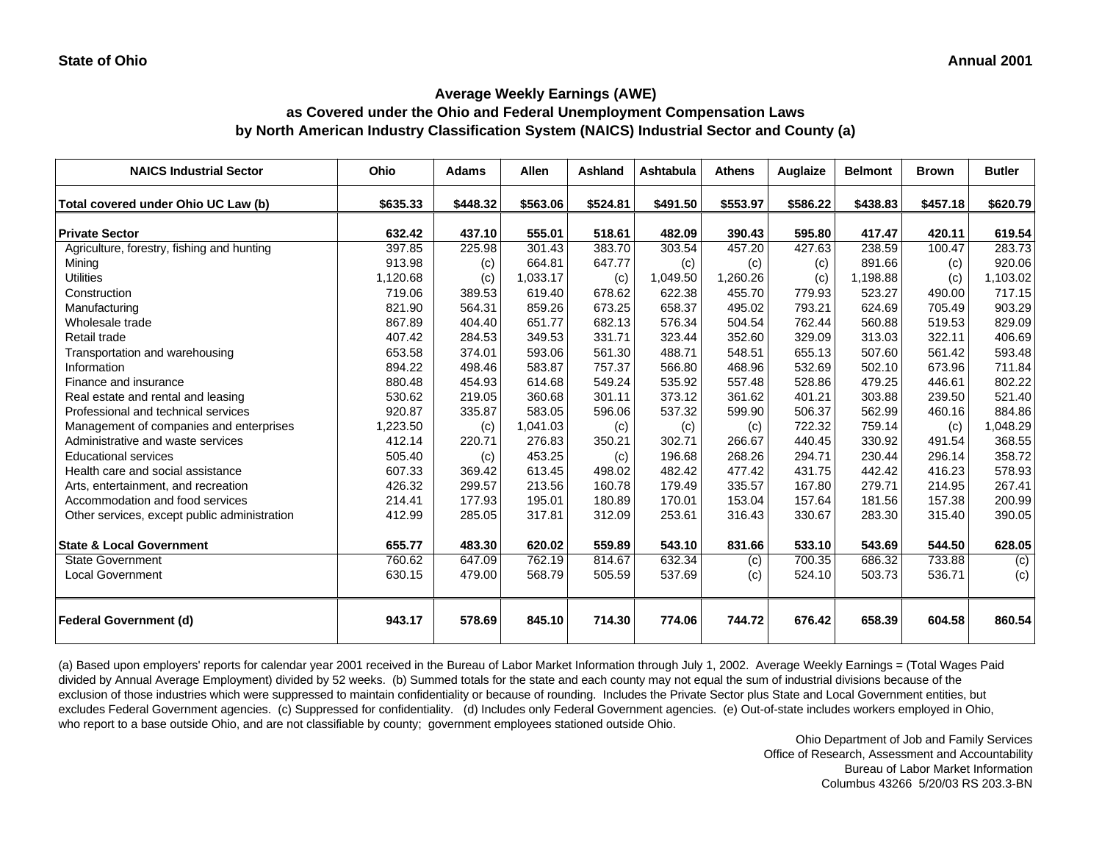# **as Covered under the Ohio and Federal Unemployment Compensation Laws by North American Industry Classification System (NAICS) Industrial Sector and County (a)**

| <b>NAICS Industrial Sector</b>               | Ohio     | <b>Adams</b> | Allen    | <b>Ashland</b> | Ashtabula | <b>Athens</b> | Auglaize | <b>Belmont</b> | <b>Brown</b> | <b>Butler</b> |
|----------------------------------------------|----------|--------------|----------|----------------|-----------|---------------|----------|----------------|--------------|---------------|
| Total covered under Ohio UC Law (b)          | \$635.33 | \$448.32     | \$563.06 | \$524.81       | \$491.50  | \$553.97      | \$586.22 | \$438.83       | \$457.18     | \$620.79      |
| <b>Private Sector</b>                        | 632.42   | 437.10       | 555.01   | 518.61         | 482.09    | 390.43        | 595.80   | 417.47         | 420.11       | 619.54        |
| Agriculture, forestry, fishing and hunting   | 397.85   | 225.98       | 301.43   | 383.70         | 303.54    | 457.20        | 427.63   | 238.59         | 100.47       | 283.73        |
| Mining                                       | 913.98   | (c)          | 664.81   | 647.77         | (c)       | (c)           | (c)      | 891.66         | (c)          | 920.06        |
| <b>Utilities</b>                             | 1,120.68 | (c)          | 1,033.17 | (c)            | 1,049.50  | 1,260.26      | (c)      | 1,198.88       | (c)          | 1,103.02      |
| Construction                                 | 719.06   | 389.53       | 619.40   | 678.62         | 622.38    | 455.70        | 779.93   | 523.27         | 490.00       | 717.15        |
| Manufacturing                                | 821.90   | 564.31       | 859.26   | 673.25         | 658.37    | 495.02        | 793.21   | 624.69         | 705.49       | 903.29        |
| Wholesale trade                              | 867.89   | 404.40       | 651.77   | 682.13         | 576.34    | 504.54        | 762.44   | 560.88         | 519.53       | 829.09        |
| Retail trade                                 | 407.42   | 284.53       | 349.53   | 331.71         | 323.44    | 352.60        | 329.09   | 313.03         | 322.11       | 406.69        |
| Transportation and warehousing               | 653.58   | 374.01       | 593.06   | 561.30         | 488.71    | 548.51        | 655.13   | 507.60         | 561.42       | 593.48        |
| Information                                  | 894.22   | 498.46       | 583.87   | 757.37         | 566.80    | 468.96        | 532.69   | 502.10         | 673.96       | 711.84        |
| Finance and insurance                        | 880.48   | 454.93       | 614.68   | 549.24         | 535.92    | 557.48        | 528.86   | 479.25         | 446.61       | 802.22        |
| Real estate and rental and leasing           | 530.62   | 219.05       | 360.68   | 301.11         | 373.12    | 361.62        | 401.21   | 303.88         | 239.50       | 521.40        |
| Professional and technical services          | 920.87   | 335.87       | 583.05   | 596.06         | 537.32    | 599.90        | 506.37   | 562.99         | 460.16       | 884.86        |
| Management of companies and enterprises      | 1,223.50 | (c)          | 1,041.03 | (c)            | (c)       | (c)           | 722.32   | 759.14         | (c)          | 1,048.29      |
| Administrative and waste services            | 412.14   | 220.71       | 276.83   | 350.21         | 302.71    | 266.67        | 440.45   | 330.92         | 491.54       | 368.55        |
| <b>Educational services</b>                  | 505.40   | (c)          | 453.25   | (c)            | 196.68    | 268.26        | 294.71   | 230.44         | 296.14       | 358.72        |
| Health care and social assistance            | 607.33   | 369.42       | 613.45   | 498.02         | 482.42    | 477.42        | 431.75   | 442.42         | 416.23       | 578.93        |
| Arts, entertainment, and recreation          | 426.32   | 299.57       | 213.56   | 160.78         | 179.49    | 335.57        | 167.80   | 279.71         | 214.95       | 267.41        |
| Accommodation and food services              | 214.41   | 177.93       | 195.01   | 180.89         | 170.01    | 153.04        | 157.64   | 181.56         | 157.38       | 200.99        |
| Other services, except public administration | 412.99   | 285.05       | 317.81   | 312.09         | 253.61    | 316.43        | 330.67   | 283.30         | 315.40       | 390.05        |
| <b>State &amp; Local Government</b>          | 655.77   | 483.30       | 620.02   | 559.89         | 543.10    | 831.66        | 533.10   | 543.69         | 544.50       | 628.05        |
| <b>State Government</b>                      | 760.62   | 647.09       | 762.19   | 814.67         | 632.34    | (c)           | 700.35   | 686.32         | 733.88       | (c)           |
| <b>Local Government</b>                      | 630.15   | 479.00       | 568.79   | 505.59         | 537.69    | (c)           | 524.10   | 503.73         | 536.71       | (c)           |
| <b>Federal Government (d)</b>                | 943.17   | 578.69       | 845.10   | 714.30         | 774.06    | 744.72        | 676.42   | 658.39         | 604.58       | 860.54        |

(a) Based upon employers' reports for calendar year 2001 received in the Bureau of Labor Market Information through July 1, 2002. Average Weekly Earnings = (Total Wages Paid divided by Annual Average Employment) divided by 52 weeks. (b) Summed totals for the state and each county may not equal the sum of industrial divisions because of the exclusion of those industries which were suppressed to maintain confidentiality or because of rounding. Includes the Private Sector plus State and Local Government entities, but excludes Federal Government agencies. (c) Suppressed for confidentiality. (d) Includes only Federal Government agencies. (e) Out-of-state includes workers employed in Ohio, who report to a base outside Ohio, and are not classifiable by county; government employees stationed outside Ohio.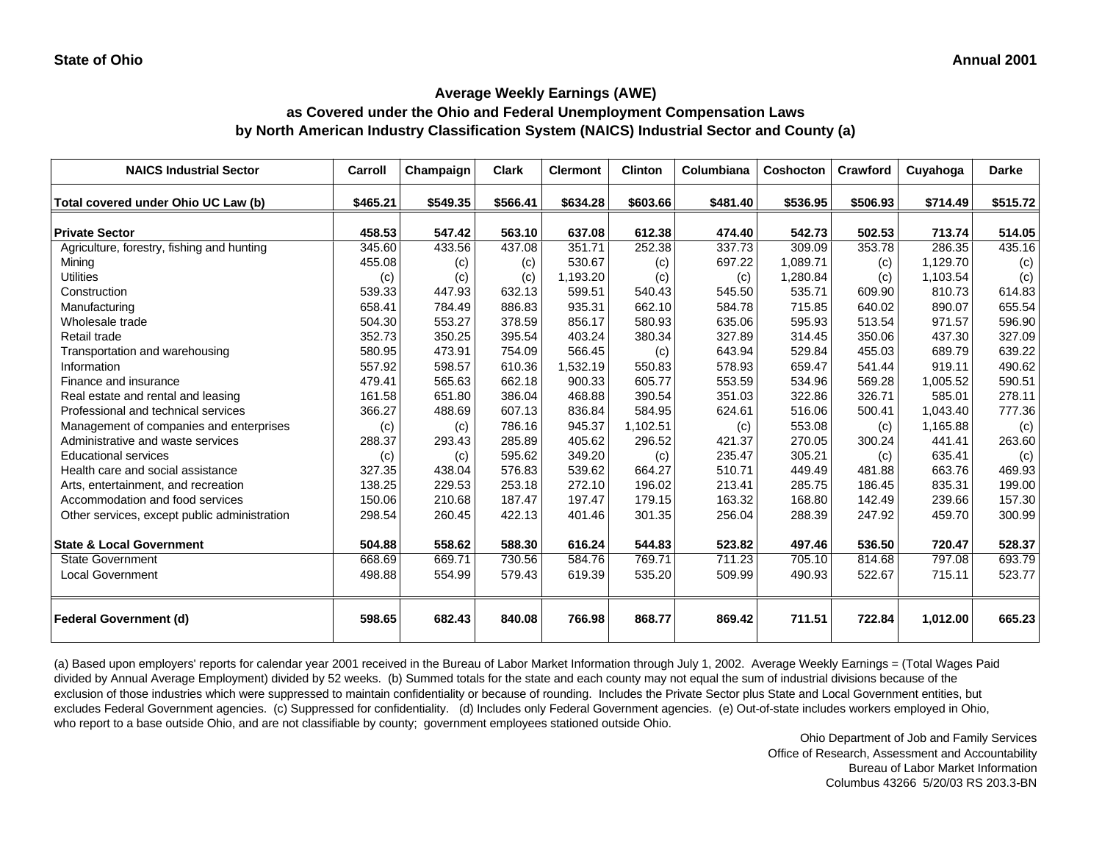# **as Covered under the Ohio and Federal Unemployment Compensation Laws by North American Industry Classification System (NAICS) Industrial Sector and County (a)**

| <b>NAICS Industrial Sector</b>               | Carroll  | Champaign | <b>Clark</b> | <b>Clermont</b> | <b>Clinton</b> | Columbiana | <b>Coshocton</b> | Crawford | Cuyahoga | <b>Darke</b> |
|----------------------------------------------|----------|-----------|--------------|-----------------|----------------|------------|------------------|----------|----------|--------------|
| Total covered under Ohio UC Law (b)          | \$465.21 | \$549.35  | \$566.41     | \$634.28        | \$603.66       | \$481.40   | \$536.95         | \$506.93 | \$714.49 | \$515.72     |
| <b>Private Sector</b>                        | 458.53   | 547.42    | 563.10       | 637.08          | 612.38         | 474.40     | 542.73           | 502.53   | 713.74   | 514.05       |
| Agriculture, forestry, fishing and hunting   | 345.60   | 433.56    | 437.08       | 351.71          | 252.38         | 337.73     | 309.09           | 353.78   | 286.35   | 435.16       |
| Mining                                       | 455.08   | (c)       | (c)          | 530.67          | (c)            | 697.22     | 1,089.71         | (c)      | 1,129.70 | (c)          |
| <b>Utilities</b>                             | (c)      | (c)       | (c)          | 1,193.20        | (c)            | (c)        | 1,280.84         | (c)      | 1.103.54 | (c)          |
| Construction                                 | 539.33   | 447.93    | 632.13       | 599.51          | 540.43         | 545.50     | 535.71           | 609.90   | 810.73   | 614.83       |
| Manufacturing                                | 658.41   | 784.49    | 886.83       | 935.31          | 662.10         | 584.78     | 715.85           | 640.02   | 890.07   | 655.54       |
| Wholesale trade                              | 504.30   | 553.27    | 378.59       | 856.17          | 580.93         | 635.06     | 595.93           | 513.54   | 971.57   | 596.90       |
| Retail trade                                 | 352.73   | 350.25    | 395.54       | 403.24          | 380.34         | 327.89     | 314.45           | 350.06   | 437.30   | 327.09       |
| Transportation and warehousing               | 580.95   | 473.91    | 754.09       | 566.45          | (c)            | 643.94     | 529.84           | 455.03   | 689.79   | 639.22       |
| Information                                  | 557.92   | 598.57    | 610.36       | 1,532.19        | 550.83         | 578.93     | 659.47           | 541.44   | 919.11   | 490.62       |
| Finance and insurance                        | 479.41   | 565.63    | 662.18       | 900.33          | 605.77         | 553.59     | 534.96           | 569.28   | 1.005.52 | 590.51       |
| Real estate and rental and leasing           | 161.58   | 651.80    | 386.04       | 468.88          | 390.54         | 351.03     | 322.86           | 326.71   | 585.01   | 278.11       |
| Professional and technical services          | 366.27   | 488.69    | 607.13       | 836.84          | 584.95         | 624.61     | 516.06           | 500.41   | 1,043.40 | 777.36       |
| Management of companies and enterprises      | (c)      | (c)       | 786.16       | 945.37          | 1,102.51       | (c)        | 553.08           | (c)      | 1,165.88 | (c)          |
| Administrative and waste services            | 288.37   | 293.43    | 285.89       | 405.62          | 296.52         | 421.37     | 270.05           | 300.24   | 441.41   | 263.60       |
| <b>Educational services</b>                  | (c)      | (c)       | 595.62       | 349.20          | (c)            | 235.47     | 305.21           | (c)      | 635.41   | (c)          |
| Health care and social assistance            | 327.35   | 438.04    | 576.83       | 539.62          | 664.27         | 510.71     | 449.49           | 481.88   | 663.76   | 469.93       |
| Arts, entertainment, and recreation          | 138.25   | 229.53    | 253.18       | 272.10          | 196.02         | 213.41     | 285.75           | 186.45   | 835.31   | 199.00       |
| Accommodation and food services              | 150.06   | 210.68    | 187.47       | 197.47          | 179.15         | 163.32     | 168.80           | 142.49   | 239.66   | 157.30       |
| Other services, except public administration | 298.54   | 260.45    | 422.13       | 401.46          | 301.35         | 256.04     | 288.39           | 247.92   | 459.70   | 300.99       |
|                                              |          |           |              |                 |                |            |                  |          |          |              |
| <b>State &amp; Local Government</b>          | 504.88   | 558.62    | 588.30       | 616.24          | 544.83         | 523.82     | 497.46           | 536.50   | 720.47   | 528.37       |
| <b>State Government</b>                      | 668.69   | 669.71    | 730.56       | 584.76          | 769.71         | 711.23     | 705.10           | 814.68   | 797.08   | 693.79       |
| <b>Local Government</b>                      | 498.88   | 554.99    | 579.43       | 619.39          | 535.20         | 509.99     | 490.93           | 522.67   | 715.11   | 523.77       |
| <b>Federal Government (d)</b>                | 598.65   | 682.43    | 840.08       | 766.98          | 868.77         | 869.42     | 711.51           | 722.84   | 1,012.00 | 665.23       |

(a) Based upon employers' reports for calendar year 2001 received in the Bureau of Labor Market Information through July 1, 2002. Average Weekly Earnings = (Total Wages Paid divided by Annual Average Employment) divided by 52 weeks. (b) Summed totals for the state and each county may not equal the sum of industrial divisions because of the exclusion of those industries which were suppressed to maintain confidentiality or because of rounding. Includes the Private Sector plus State and Local Government entities, but excludes Federal Government agencies. (c) Suppressed for confidentiality. (d) Includes only Federal Government agencies. (e) Out-of-state includes workers employed in Ohio, who report to a base outside Ohio, and are not classifiable by county; government employees stationed outside Ohio.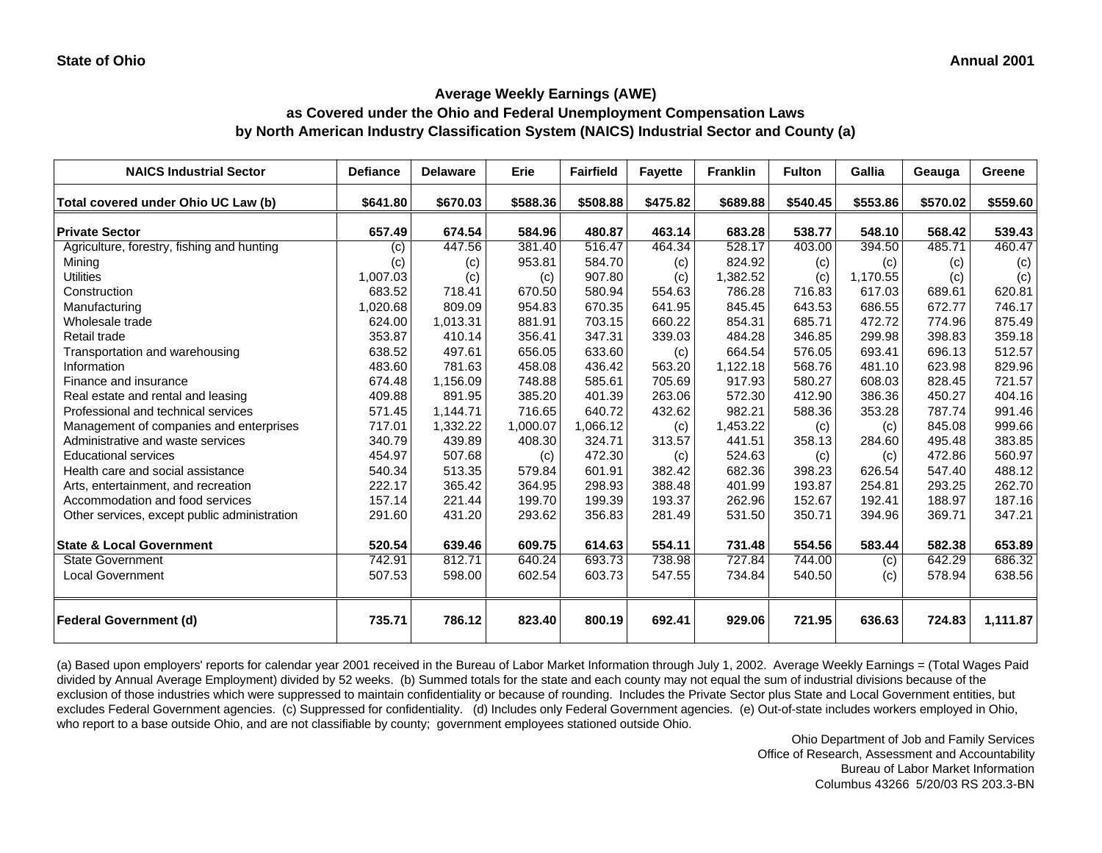### **as Covered under the Ohio and Federal Unemployment Compensation Laws by North American Industry Classification System (NAICS) Industrial Sector and County (a)**

| <b>NAICS Industrial Sector</b>               | <b>Defiance</b> | <b>Delaware</b> | <b>Erie</b> | <b>Fairfield</b> | <b>Fayette</b> | <b>Franklin</b> | <b>Fulton</b> | Gallia   | Geauga   | <b>Greene</b> |
|----------------------------------------------|-----------------|-----------------|-------------|------------------|----------------|-----------------|---------------|----------|----------|---------------|
| Total covered under Ohio UC Law (b)          | \$641.80        | \$670.03        | \$588.36    | \$508.88         | \$475.82       | \$689.88        | \$540.45      | \$553.86 | \$570.02 | \$559.60      |
| <b>Private Sector</b>                        | 657.49          | 674.54          | 584.96      | 480.87           | 463.14         | 683.28          | 538.77        | 548.10   | 568.42   | 539.43        |
| Agriculture, forestry, fishing and hunting   | (c)             | 447.56          | 381.40      | 516.47           | 464.34         | 528.17          | 403.00        | 394.50   | 485.71   | 460.47        |
| Mining                                       | (c)             | (c)             | 953.81      | 584.70           | (c)            | 824.92          | (c)           | (c)      | (c)      | (c)           |
| <b>Utilities</b>                             | 1,007.03        | (c)             | (c)         | 907.80           | (c)            | 1,382.52        | (c)           | 1,170.55 | (c)      | (c)           |
| Construction                                 | 683.52          | 718.41          | 670.50      | 580.94           | 554.63         | 786.28          | 716.83        | 617.03   | 689.61   | 620.81        |
| Manufacturing                                | 1.020.68        | 809.09          | 954.83      | 670.35           | 641.95         | 845.45          | 643.53        | 686.55   | 672.77   | 746.17        |
| Wholesale trade                              | 624.00          | 1,013.31        | 881.91      | 703.15           | 660.22         | 854.31          | 685.71        | 472.72   | 774.96   | 875.49        |
| Retail trade                                 | 353.87          | 410.14          | 356.41      | 347.31           | 339.03         | 484.28          | 346.85        | 299.98   | 398.83   | 359.18        |
| Transportation and warehousing               | 638.52          | 497.61          | 656.05      | 633.60           | (c)            | 664.54          | 576.05        | 693.41   | 696.13   | 512.57        |
| Information                                  | 483.60          | 781.63          | 458.08      | 436.42           | 563.20         | 1,122.18        | 568.76        | 481.10   | 623.98   | 829.96        |
| Finance and insurance                        | 674.48          | 1,156.09        | 748.88      | 585.61           | 705.69         | 917.93          | 580.27        | 608.03   | 828.45   | 721.57        |
| Real estate and rental and leasing           | 409.88          | 891.95          | 385.20      | 401.39           | 263.06         | 572.30          | 412.90        | 386.36   | 450.27   | 404.16        |
| Professional and technical services          | 571.45          | 1,144.71        | 716.65      | 640.72           | 432.62         | 982.21          | 588.36        | 353.28   | 787.74   | 991.46        |
| Management of companies and enterprises      | 717.01          | 1,332.22        | 1,000.07    | 1,066.12         | (c)            | 1,453.22        | (c)           | (c)      | 845.08   | 999.66        |
| Administrative and waste services            | 340.79          | 439.89          | 408.30      | 324.71           | 313.57         | 441.51          | 358.13        | 284.60   | 495.48   | 383.85        |
| <b>Educational services</b>                  | 454.97          | 507.68          | (c)         | 472.30           | (c)            | 524.63          | (c)           | (c)      | 472.86   | 560.97        |
| Health care and social assistance            | 540.34          | 513.35          | 579.84      | 601.91           | 382.42         | 682.36          | 398.23        | 626.54   | 547.40   | 488.12        |
| Arts, entertainment, and recreation          | 222.17          | 365.42          | 364.95      | 298.93           | 388.48         | 401.99          | 193.87        | 254.81   | 293.25   | 262.70        |
| Accommodation and food services              | 157.14          | 221.44          | 199.70      | 199.39           | 193.37         | 262.96          | 152.67        | 192.41   | 188.97   | 187.16        |
| Other services, except public administration | 291.60          | 431.20          | 293.62      | 356.83           | 281.49         | 531.50          | 350.71        | 394.96   | 369.71   | 347.21        |
| <b>State &amp; Local Government</b>          | 520.54          | 639.46          | 609.75      | 614.63           | 554.11         | 731.48          | 554.56        | 583.44   | 582.38   | 653.89        |
| <b>State Government</b>                      | 742.91          | 812.71          | 640.24      | 693.73           | 738.98         | 727.84          | 744.00        | (c)      | 642.29   | 686.32        |
| <b>Local Government</b>                      | 507.53          | 598.00          | 602.54      | 603.73           | 547.55         | 734.84          | 540.50        | (c)      | 578.94   | 638.56        |
| <b>Federal Government (d)</b>                | 735.71          | 786.12          | 823.40      | 800.19           | 692.41         | 929.06          | 721.95        | 636.63   | 724.83   | 1,111.87      |

(a) Based upon employers' reports for calendar year 2001 received in the Bureau of Labor Market Information through July 1, 2002. Average Weekly Earnings = (Total Wages Paid divided by Annual Average Employment) divided by 52 weeks. (b) Summed totals for the state and each county may not equal the sum of industrial divisions because of the exclusion of those industries which were suppressed to maintain confidentiality or because of rounding. Includes the Private Sector plus State and Local Government entities, but excludes Federal Government agencies. (c) Suppressed for confidentiality. (d) Includes only Federal Government agencies. (e) Out-of-state includes workers employed in Ohio, who report to a base outside Ohio, and are not classifiable by county; government employees stationed outside Ohio.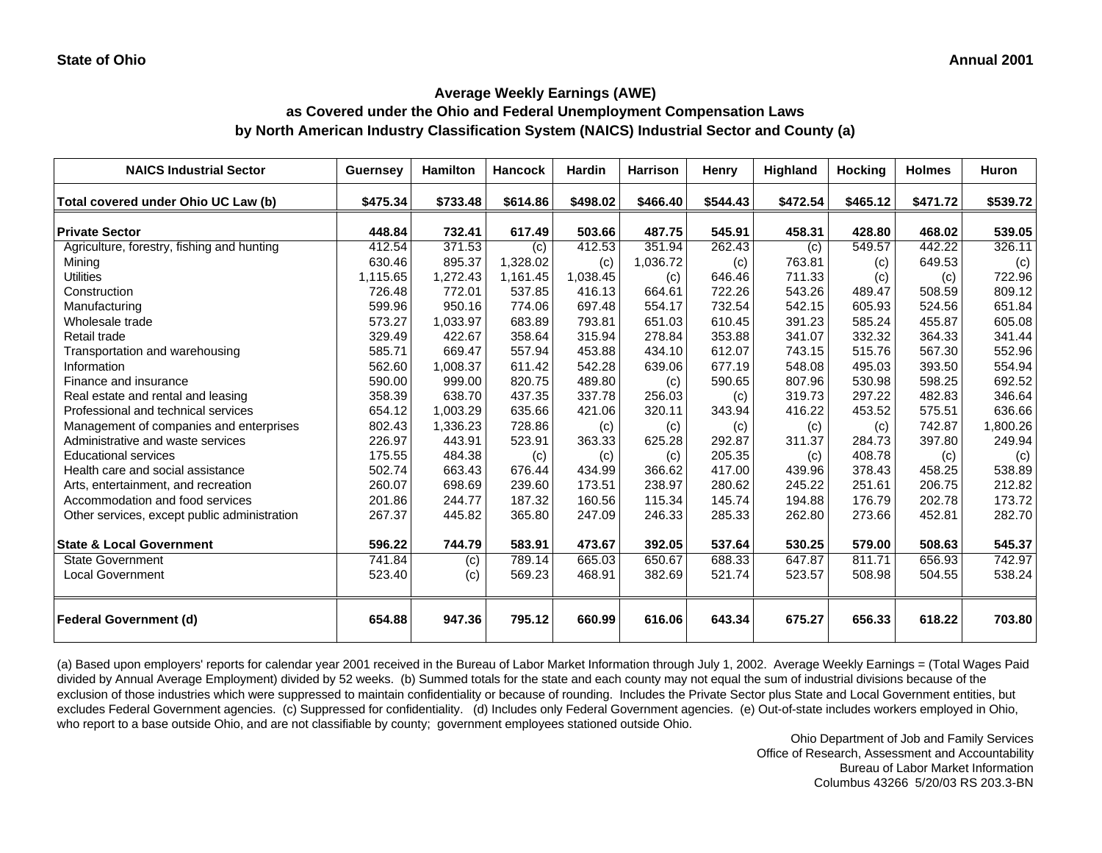# **as Covered under the Ohio and Federal Unemployment Compensation Laws by North American Industry Classification System (NAICS) Industrial Sector and County (a)**

| <b>NAICS Industrial Sector</b>               | Guernsey | Hamilton | <b>Hancock</b> | <b>Hardin</b> | <b>Harrison</b> | Henry    | <b>Highland</b> | <b>Hocking</b> | <b>Holmes</b> | Huron    |
|----------------------------------------------|----------|----------|----------------|---------------|-----------------|----------|-----------------|----------------|---------------|----------|
| Total covered under Ohio UC Law (b)          | \$475.34 | \$733.48 | \$614.86       | \$498.02      | \$466.40        | \$544.43 | \$472.54        | \$465.12       | \$471.72      | \$539.72 |
| <b>Private Sector</b>                        | 448.84   | 732.41   | 617.49         | 503.66        | 487.75          | 545.91   | 458.31          | 428.80         | 468.02        | 539.05   |
| Agriculture, forestry, fishing and hunting   | 412.54   | 371.53   | (c)            | 412.53        | 351.94          | 262.43   | (c)             | 549.57         | 442.22        | 326.11   |
| Mining                                       | 630.46   | 895.37   | 1,328.02       | (c)           | 1,036.72        | (c)      | 763.81          | (c)            | 649.53        | (c)      |
| <b>Utilities</b>                             | 1,115.65 | 1,272.43 | 1,161.45       | 1,038.45      | (c)             | 646.46   | 711.33          | (c)            | (c)           | 722.96   |
| Construction                                 | 726.48   | 772.01   | 537.85         | 416.13        | 664.61          | 722.26   | 543.26          | 489.47         | 508.59        | 809.12   |
| Manufacturing                                | 599.96   | 950.16   | 774.06         | 697.48        | 554.17          | 732.54   | 542.15          | 605.93         | 524.56        | 651.84   |
| Wholesale trade                              | 573.27   | 1,033.97 | 683.89         | 793.81        | 651.03          | 610.45   | 391.23          | 585.24         | 455.87        | 605.08   |
| Retail trade                                 | 329.49   | 422.67   | 358.64         | 315.94        | 278.84          | 353.88   | 341.07          | 332.32         | 364.33        | 341.44   |
| Transportation and warehousing               | 585.71   | 669.47   | 557.94         | 453.88        | 434.10          | 612.07   | 743.15          | 515.76         | 567.30        | 552.96   |
| Information                                  | 562.60   | 1,008.37 | 611.42         | 542.28        | 639.06          | 677.19   | 548.08          | 495.03         | 393.50        | 554.94   |
| Finance and insurance                        | 590.00   | 999.00   | 820.75         | 489.80        | (c)             | 590.65   | 807.96          | 530.98         | 598.25        | 692.52   |
| Real estate and rental and leasing           | 358.39   | 638.70   | 437.35         | 337.78        | 256.03          | (c)      | 319.73          | 297.22         | 482.83        | 346.64   |
| Professional and technical services          | 654.12   | 1,003.29 | 635.66         | 421.06        | 320.11          | 343.94   | 416.22          | 453.52         | 575.51        | 636.66   |
| Management of companies and enterprises      | 802.43   | 1,336.23 | 728.86         | (c)           | (c)             | (c)      | (c)             | (c)            | 742.87        | 1,800.26 |
| Administrative and waste services            | 226.97   | 443.91   | 523.91         | 363.33        | 625.28          | 292.87   | 311.37          | 284.73         | 397.80        | 249.94   |
| <b>Educational services</b>                  | 175.55   | 484.38   | (c)            | (c)           | (c)             | 205.35   | (c)             | 408.78         | (c)           | (c)      |
| Health care and social assistance            | 502.74   | 663.43   | 676.44         | 434.99        | 366.62          | 417.00   | 439.96          | 378.43         | 458.25        | 538.89   |
| Arts, entertainment, and recreation          | 260.07   | 698.69   | 239.60         | 173.51        | 238.97          | 280.62   | 245.22          | 251.61         | 206.75        | 212.82   |
| Accommodation and food services              | 201.86   | 244.77   | 187.32         | 160.56        | 115.34          | 145.74   | 194.88          | 176.79         | 202.78        | 173.72   |
| Other services, except public administration | 267.37   | 445.82   | 365.80         | 247.09        | 246.33          | 285.33   | 262.80          | 273.66         | 452.81        | 282.70   |
|                                              |          |          |                |               |                 |          |                 |                |               |          |
| <b>State &amp; Local Government</b>          | 596.22   | 744.79   | 583.91         | 473.67        | 392.05          | 537.64   | 530.25          | 579.00         | 508.63        | 545.37   |
| <b>State Government</b>                      | 741.84   | (c)      | 789.14         | 665.03        | 650.67          | 688.33   | 647.87          | 811.71         | 656.93        | 742.97   |
| <b>Local Government</b>                      | 523.40   | (c)      | 569.23         | 468.91        | 382.69          | 521.74   | 523.57          | 508.98         | 504.55        | 538.24   |
|                                              |          |          |                |               |                 |          |                 |                |               |          |
| <b>Federal Government (d)</b>                | 654.88   | 947.36   | 795.12         | 660.99        | 616.06          | 643.34   | 675.27          | 656.33         | 618.22        | 703.80   |

(a) Based upon employers' reports for calendar year 2001 received in the Bureau of Labor Market Information through July 1, 2002. Average Weekly Earnings = (Total Wages Paid divided by Annual Average Employment) divided by 52 weeks. (b) Summed totals for the state and each county may not equal the sum of industrial divisions because of the exclusion of those industries which were suppressed to maintain confidentiality or because of rounding. Includes the Private Sector plus State and Local Government entities, but excludes Federal Government agencies. (c) Suppressed for confidentiality. (d) Includes only Federal Government agencies. (e) Out-of-state includes workers employed in Ohio, who report to a base outside Ohio, and are not classifiable by county; government employees stationed outside Ohio.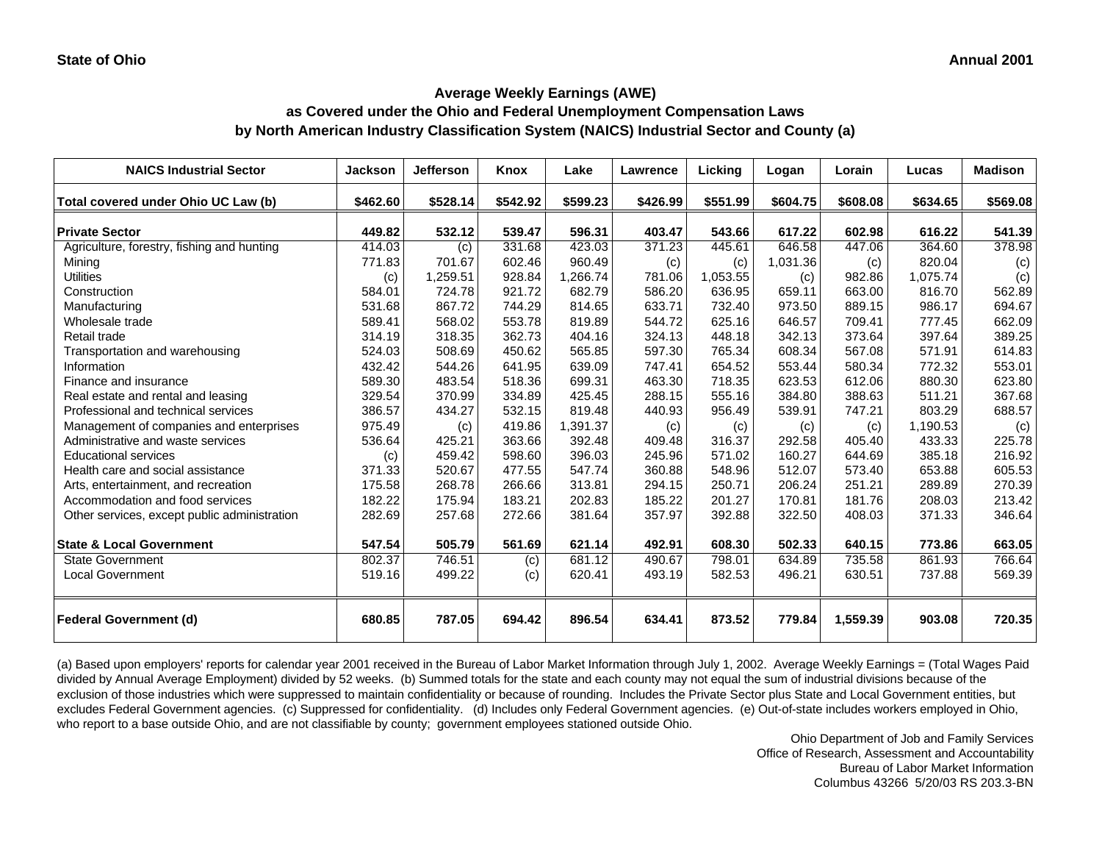# **as Covered under the Ohio and Federal Unemployment Compensation Laws by North American Industry Classification System (NAICS) Industrial Sector and County (a)**

| <b>NAICS Industrial Sector</b>               | <b>Jackson</b> | <b>Jefferson</b> | Knox     | Lake     | <b>Lawrence</b> | Licking  | Logan    | Lorain   | Lucas    | <b>Madison</b> |
|----------------------------------------------|----------------|------------------|----------|----------|-----------------|----------|----------|----------|----------|----------------|
| Total covered under Ohio UC Law (b)          | \$462.60       | \$528.14         | \$542.92 | \$599.23 | \$426.99        | \$551.99 | \$604.75 | \$608.08 | \$634.65 | \$569.08       |
| <b>Private Sector</b>                        | 449.82         | 532.12           | 539.47   | 596.31   | 403.47          | 543.66   | 617.22   | 602.98   | 616.22   | 541.39         |
| Agriculture, forestry, fishing and hunting   | 414.03         | (c)              | 331.68   | 423.03   | 371.23          | 445.61   | 646.58   | 447.06   | 364.60   | 378.98         |
| Mining                                       | 771.83         | 701.67           | 602.46   | 960.49   | (c)             | (c)      | 1,031.36 | (c)      | 820.04   | (c)            |
| <b>Utilities</b>                             | (c)            | 1,259.51         | 928.84   | 1,266.74 | 781.06          | 1,053.55 | (c)      | 982.86   | 1,075.74 | (c)            |
| Construction                                 | 584.01         | 724.78           | 921.72   | 682.79   | 586.20          | 636.95   | 659.11   | 663.00   | 816.70   | 562.89         |
| Manufacturing                                | 531.68         | 867.72           | 744.29   | 814.65   | 633.71          | 732.40   | 973.50   | 889.15   | 986.17   | 694.67         |
| Wholesale trade                              | 589.41         | 568.02           | 553.78   | 819.89   | 544.72          | 625.16   | 646.57   | 709.41   | 777.45   | 662.09         |
| Retail trade                                 | 314.19         | 318.35           | 362.73   | 404.16   | 324.13          | 448.18   | 342.13   | 373.64   | 397.64   | 389.25         |
| Transportation and warehousing               | 524.03         | 508.69           | 450.62   | 565.85   | 597.30          | 765.34   | 608.34   | 567.08   | 571.91   | 614.83         |
| Information                                  | 432.42         | 544.26           | 641.95   | 639.09   | 747.41          | 654.52   | 553.44   | 580.34   | 772.32   | 553.01         |
| Finance and insurance                        | 589.30         | 483.54           | 518.36   | 699.31   | 463.30          | 718.35   | 623.53   | 612.06   | 880.30   | 623.80         |
| Real estate and rental and leasing           | 329.54         | 370.99           | 334.89   | 425.45   | 288.15          | 555.16   | 384.80   | 388.63   | 511.21   | 367.68         |
| Professional and technical services          | 386.57         | 434.27           | 532.15   | 819.48   | 440.93          | 956.49   | 539.91   | 747.21   | 803.29   | 688.57         |
| Management of companies and enterprises      | 975.49         | (c)              | 419.86   | 1,391.37 | (c)             | (c)      | (c)      | (c)      | 1,190.53 | (c)            |
| Administrative and waste services            | 536.64         | 425.21           | 363.66   | 392.48   | 409.48          | 316.37   | 292.58   | 405.40   | 433.33   | 225.78         |
| <b>Educational services</b>                  | (c)            | 459.42           | 598.60   | 396.03   | 245.96          | 571.02   | 160.27   | 644.69   | 385.18   | 216.92         |
| Health care and social assistance            | 371.33         | 520.67           | 477.55   | 547.74   | 360.88          | 548.96   | 512.07   | 573.40   | 653.88   | 605.53         |
| Arts, entertainment, and recreation          | 175.58         | 268.78           | 266.66   | 313.81   | 294.15          | 250.71   | 206.24   | 251.21   | 289.89   | 270.39         |
| Accommodation and food services              | 182.22         | 175.94           | 183.21   | 202.83   | 185.22          | 201.27   | 170.81   | 181.76   | 208.03   | 213.42         |
| Other services, except public administration | 282.69         | 257.68           | 272.66   | 381.64   | 357.97          | 392.88   | 322.50   | 408.03   | 371.33   | 346.64         |
| <b>State &amp; Local Government</b>          | 547.54         | 505.79           | 561.69   | 621.14   | 492.91          | 608.30   | 502.33   | 640.15   | 773.86   | 663.05         |
| State Government                             | 802.37         | 746.51           | (c)      | 681.12   | 490.67          | 798.01   | 634.89   | 735.58   | 861.93   | 766.64         |
| <b>Local Government</b>                      | 519.16         | 499.22           | (c)      | 620.41   | 493.19          | 582.53   | 496.21   | 630.51   | 737.88   | 569.39         |
| <b>Federal Government (d)</b>                | 680.85         | 787.05           | 694.42   | 896.54   | 634.41          | 873.52   | 779.84   | 1,559.39 | 903.08   | 720.35         |

(a) Based upon employers' reports for calendar year 2001 received in the Bureau of Labor Market Information through July 1, 2002. Average Weekly Earnings = (Total Wages Paid divided by Annual Average Employment) divided by 52 weeks. (b) Summed totals for the state and each county may not equal the sum of industrial divisions because of the exclusion of those industries which were suppressed to maintain confidentiality or because of rounding. Includes the Private Sector plus State and Local Government entities, but excludes Federal Government agencies. (c) Suppressed for confidentiality. (d) Includes only Federal Government agencies. (e) Out-of-state includes workers employed in Ohio, who report to a base outside Ohio, and are not classifiable by county; government employees stationed outside Ohio.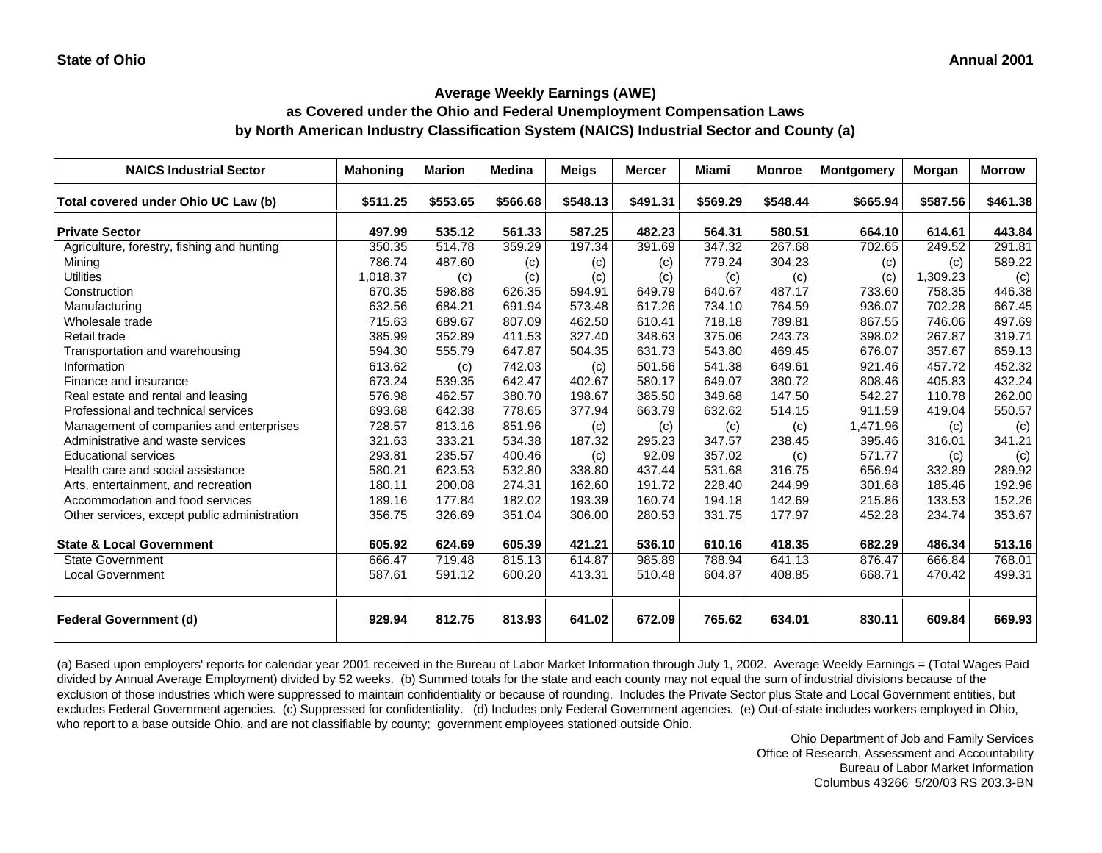# **as Covered under the Ohio and Federal Unemployment Compensation Laws by North American Industry Classification System (NAICS) Industrial Sector and County (a)**

| <b>NAICS Industrial Sector</b>               | <b>Mahoning</b> | <b>Marion</b> | <b>Medina</b> | <b>Meigs</b> | <b>Mercer</b> | Miami    | <b>Monroe</b> | <b>Montgomery</b> | Morgan   | <b>Morrow</b> |
|----------------------------------------------|-----------------|---------------|---------------|--------------|---------------|----------|---------------|-------------------|----------|---------------|
| Total covered under Ohio UC Law (b)          | \$511.25        | \$553.65      | \$566.68      | \$548.13     | \$491.31      | \$569.29 | \$548.44      | \$665.94          | \$587.56 | \$461.38      |
| <b>Private Sector</b>                        | 497.99          | 535.12        | 561.33        | 587.25       | 482.23        | 564.31   | 580.51        | 664.10            | 614.61   | 443.84        |
| Agriculture, forestry, fishing and hunting   | 350.35          | 514.78        | 359.29        | 197.34       | 391.69        | 347.32   | 267.68        | 702.65            | 249.52   | 291.81        |
| Mining                                       | 786.74          | 487.60        | (c)           | (c)          | (c)           | 779.24   | 304.23        | (c)               | (c)      | 589.22        |
| <b>Utilities</b>                             | 1,018.37        | (c)           | (c)           | (c)          | (c)           | (c)      | (c)           | (c)               | 1,309.23 | (c)           |
| Construction                                 | 670.35          | 598.88        | 626.35        | 594.91       | 649.79        | 640.67   | 487.17        | 733.60            | 758.35   | 446.38        |
| Manufacturing                                | 632.56          | 684.21        | 691.94        | 573.48       | 617.26        | 734.10   | 764.59        | 936.07            | 702.28   | 667.45        |
| Wholesale trade                              | 715.63          | 689.67        | 807.09        | 462.50       | 610.41        | 718.18   | 789.81        | 867.55            | 746.06   | 497.69        |
| Retail trade                                 | 385.99          | 352.89        | 411.53        | 327.40       | 348.63        | 375.06   | 243.73        | 398.02            | 267.87   | 319.71        |
| Transportation and warehousing               | 594.30          | 555.79        | 647.87        | 504.35       | 631.73        | 543.80   | 469.45        | 676.07            | 357.67   | 659.13        |
| Information                                  | 613.62          | (c)           | 742.03        | (c)          | 501.56        | 541.38   | 649.61        | 921.46            | 457.72   | 452.32        |
| Finance and insurance                        | 673.24          | 539.35        | 642.47        | 402.67       | 580.17        | 649.07   | 380.72        | 808.46            | 405.83   | 432.24        |
| Real estate and rental and leasing           | 576.98          | 462.57        | 380.70        | 198.67       | 385.50        | 349.68   | 147.50        | 542.27            | 110.78   | 262.00        |
| Professional and technical services          | 693.68          | 642.38        | 778.65        | 377.94       | 663.79        | 632.62   | 514.15        | 911.59            | 419.04   | 550.57        |
| Management of companies and enterprises      | 728.57          | 813.16        | 851.96        | (c)          | (c)           | (c)      | (c)           | 1,471.96          | (c)      | (c)           |
| Administrative and waste services            | 321.63          | 333.21        | 534.38        | 187.32       | 295.23        | 347.57   | 238.45        | 395.46            | 316.01   | 341.21        |
| <b>Educational services</b>                  | 293.81          | 235.57        | 400.46        | (c)          | 92.09         | 357.02   | (c)           | 571.77            | (c)      | (c)           |
| Health care and social assistance            | 580.21          | 623.53        | 532.80        | 338.80       | 437.44        | 531.68   | 316.75        | 656.94            | 332.89   | 289.92        |
| Arts, entertainment, and recreation          | 180.11          | 200.08        | 274.31        | 162.60       | 191.72        | 228.40   | 244.99        | 301.68            | 185.46   | 192.96        |
| Accommodation and food services              | 189.16          | 177.84        | 182.02        | 193.39       | 160.74        | 194.18   | 142.69        | 215.86            | 133.53   | 152.26        |
| Other services, except public administration | 356.75          | 326.69        | 351.04        | 306.00       | 280.53        | 331.75   | 177.97        | 452.28            | 234.74   | 353.67        |
| <b>State &amp; Local Government</b>          | 605.92          | 624.69        | 605.39        | 421.21       | 536.10        | 610.16   | 418.35        | 682.29            | 486.34   | 513.16        |
| State Government                             | 666.47          | 719.48        | 815.13        | 614.87       | 985.89        | 788.94   | 641.13        | 876.47            | 666.84   | 768.01        |
| <b>Local Government</b>                      | 587.61          | 591.12        | 600.20        | 413.31       | 510.48        | 604.87   | 408.85        | 668.71            | 470.42   | 499.31        |
| <b>Federal Government (d)</b>                | 929.94          | 812.75        | 813.93        | 641.02       | 672.09        | 765.62   | 634.01        | 830.11            | 609.84   | 669.93        |

(a) Based upon employers' reports for calendar year 2001 received in the Bureau of Labor Market Information through July 1, 2002. Average Weekly Earnings = (Total Wages Paid divided by Annual Average Employment) divided by 52 weeks. (b) Summed totals for the state and each county may not equal the sum of industrial divisions because of the exclusion of those industries which were suppressed to maintain confidentiality or because of rounding. Includes the Private Sector plus State and Local Government entities, but excludes Federal Government agencies. (c) Suppressed for confidentiality. (d) Includes only Federal Government agencies. (e) Out-of-state includes workers employed in Ohio, who report to a base outside Ohio, and are not classifiable by county; government employees stationed outside Ohio.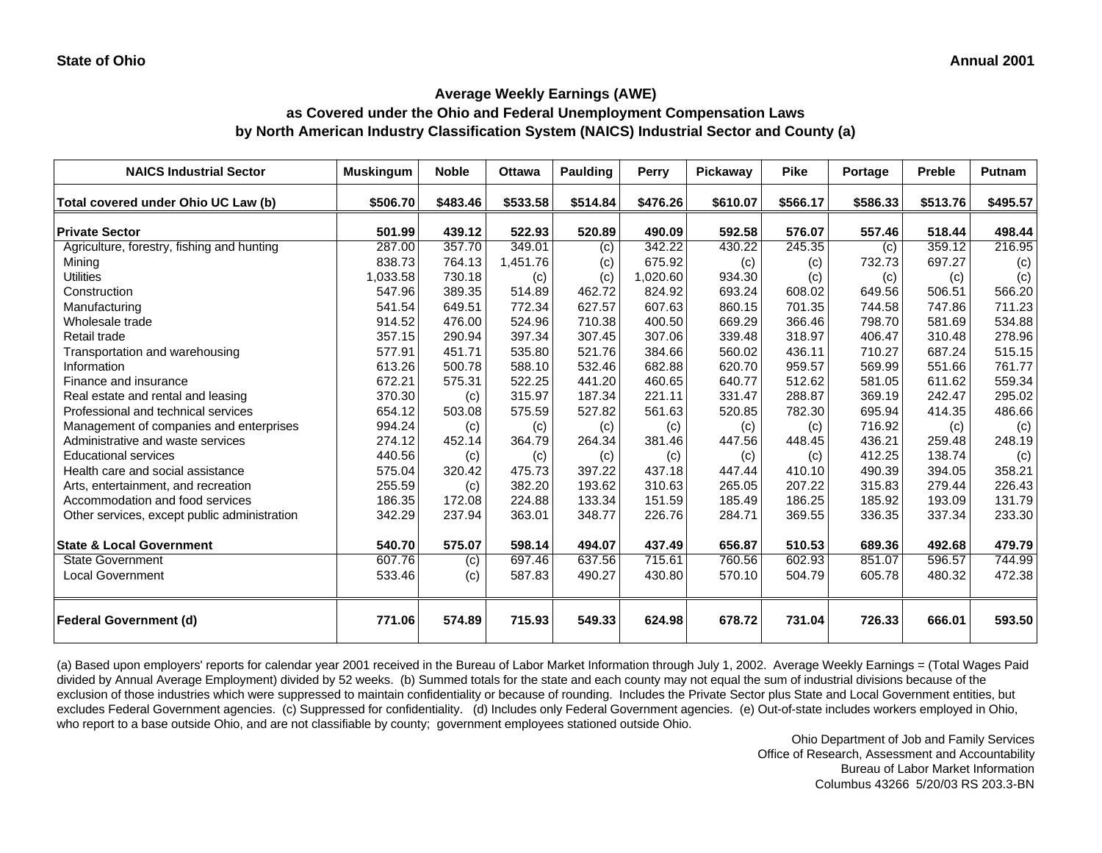### **as Covered under the Ohio and Federal Unemployment Compensation Laws by North American Industry Classification System (NAICS) Industrial Sector and County (a)**

| <b>NAICS Industrial Sector</b>               | <b>Muskingum</b> | <b>Noble</b> | <b>Ottawa</b> | <b>Paulding</b> | <b>Perry</b> | Pickaway | <b>Pike</b> | <b>Portage</b> | Preble   | Putnam   |
|----------------------------------------------|------------------|--------------|---------------|-----------------|--------------|----------|-------------|----------------|----------|----------|
| Total covered under Ohio UC Law (b)          | \$506.70         | \$483.46     | \$533.58      | \$514.84        | \$476.26     | \$610.07 | \$566.17    | \$586.33       | \$513.76 | \$495.57 |
| <b>Private Sector</b>                        | 501.99           | 439.12       | 522.93        | 520.89          | 490.09       | 592.58   | 576.07      | 557.46         | 518.44   | 498.44   |
| Agriculture, forestry, fishing and hunting   | 287.00           | 357.70       | 349.01        | (c)             | 342.22       | 430.22   | 245.35      | (c)            | 359.12   | 216.95   |
| Mining                                       | 838.73           | 764.13       | 1,451.76      | (c)             | 675.92       | (c)      | (c)         | 732.73         | 697.27   | (c)      |
| <b>Utilities</b>                             | 1,033.58         | 730.18       | (c)           | (c)             | 1,020.60     | 934.30   | (c)         | (c)            | (c)      | (c)      |
| Construction                                 | 547.96           | 389.35       | 514.89        | 462.72          | 824.92       | 693.24   | 608.02      | 649.56         | 506.51   | 566.20   |
| Manufacturing                                | 541.54           | 649.51       | 772.34        | 627.57          | 607.63       | 860.15   | 701.35      | 744.58         | 747.86   | 711.23   |
| Wholesale trade                              | 914.52           | 476.00       | 524.96        | 710.38          | 400.50       | 669.29   | 366.46      | 798.70         | 581.69   | 534.88   |
| Retail trade                                 | 357.15           | 290.94       | 397.34        | 307.45          | 307.06       | 339.48   | 318.97      | 406.47         | 310.48   | 278.96   |
| Transportation and warehousing               | 577.91           | 451.71       | 535.80        | 521.76          | 384.66       | 560.02   | 436.11      | 710.27         | 687.24   | 515.15   |
| Information                                  | 613.26           | 500.78       | 588.10        | 532.46          | 682.88       | 620.70   | 959.57      | 569.99         | 551.66   | 761.77   |
| Finance and insurance                        | 672.21           | 575.31       | 522.25        | 441.20          | 460.65       | 640.77   | 512.62      | 581.05         | 611.62   | 559.34   |
| Real estate and rental and leasing           | 370.30           | (c)          | 315.97        | 187.34          | 221.11       | 331.47   | 288.87      | 369.19         | 242.47   | 295.02   |
| Professional and technical services          | 654.12           | 503.08       | 575.59        | 527.82          | 561.63       | 520.85   | 782.30      | 695.94         | 414.35   | 486.66   |
| Management of companies and enterprises      | 994.24           | (c)          | (c)           | (c)             | (c)          | (c)      | (c)         | 716.92         | (c)      | (c)      |
| Administrative and waste services            | 274.12           | 452.14       | 364.79        | 264.34          | 381.46       | 447.56   | 448.45      | 436.21         | 259.48   | 248.19   |
| <b>Educational services</b>                  | 440.56           | (c)          | (c)           | (c)             | (c)          | (c)      | (c)         | 412.25         | 138.74   | (c)      |
| Health care and social assistance            | 575.04           | 320.42       | 475.73        | 397.22          | 437.18       | 447.44   | 410.10      | 490.39         | 394.05   | 358.21   |
| Arts, entertainment, and recreation          | 255.59           | (c)          | 382.20        | 193.62          | 310.63       | 265.05   | 207.22      | 315.83         | 279.44   | 226.43   |
| Accommodation and food services              | 186.35           | 172.08       | 224.88        | 133.34          | 151.59       | 185.49   | 186.25      | 185.92         | 193.09   | 131.79   |
| Other services, except public administration | 342.29           | 237.94       | 363.01        | 348.77          | 226.76       | 284.71   | 369.55      | 336.35         | 337.34   | 233.30   |
| <b>State &amp; Local Government</b>          | 540.70           | 575.07       | 598.14        | 494.07          | 437.49       | 656.87   | 510.53      | 689.36         | 492.68   | 479.79   |
| <b>State Government</b>                      | 607.76           | (c)          | 697.46        | 637.56          | 715.61       | 760.56   | 602.93      | 851.07         | 596.57   | 744.99   |
| <b>Local Government</b>                      | 533.46           | (c)          | 587.83        | 490.27          | 430.80       | 570.10   | 504.79      | 605.78         | 480.32   | 472.38   |
| <b>Federal Government (d)</b>                | 771.06           | 574.89       | 715.93        | 549.33          | 624.98       | 678.72   | 731.04      | 726.33         | 666.01   | 593.50   |

(a) Based upon employers' reports for calendar year 2001 received in the Bureau of Labor Market Information through July 1, 2002. Average Weekly Earnings = (Total Wages Paid divided by Annual Average Employment) divided by 52 weeks. (b) Summed totals for the state and each county may not equal the sum of industrial divisions because of the exclusion of those industries which were suppressed to maintain confidentiality or because of rounding. Includes the Private Sector plus State and Local Government entities, but excludes Federal Government agencies. (c) Suppressed for confidentiality. (d) Includes only Federal Government agencies. (e) Out-of-state includes workers employed in Ohio, who report to a base outside Ohio, and are not classifiable by county; government employees stationed outside Ohio.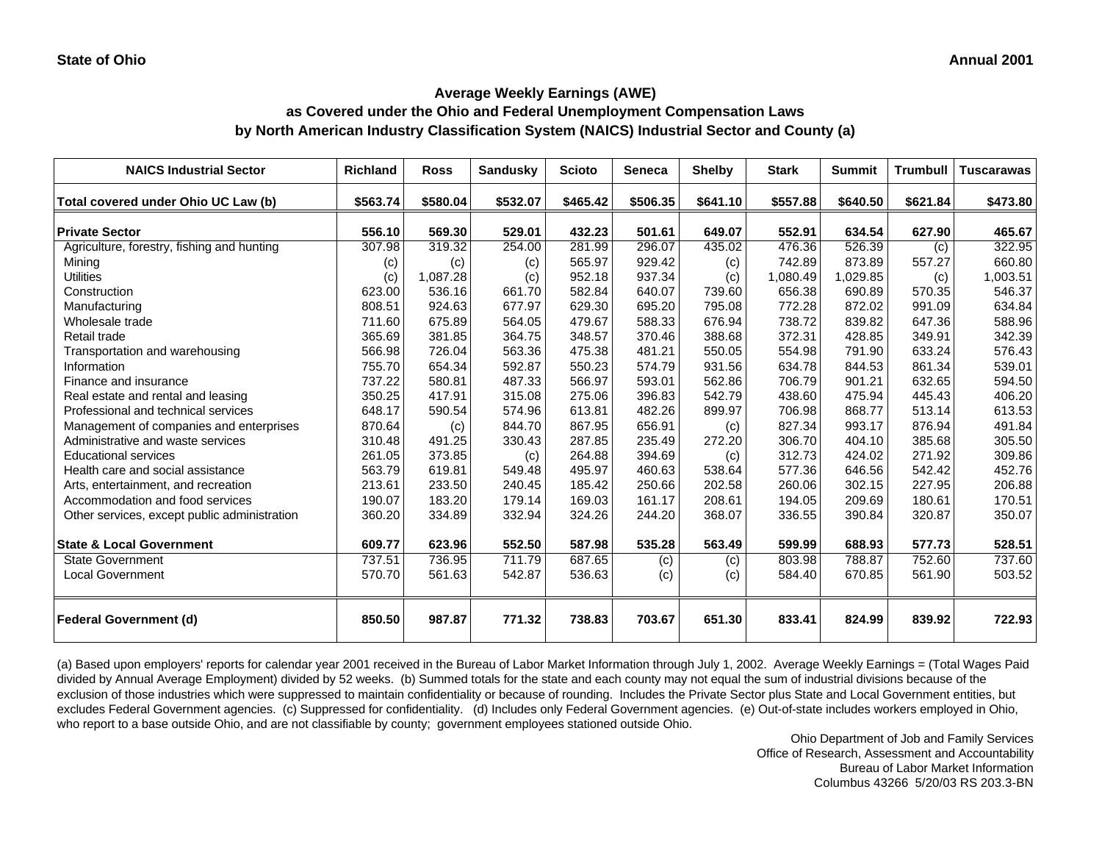# **as Covered under the Ohio and Federal Unemployment Compensation Laws by North American Industry Classification System (NAICS) Industrial Sector and County (a)**

| <b>NAICS Industrial Sector</b>               | <b>Richland</b> | <b>Ross</b> | <b>Sandusky</b>  | <b>Scioto</b>    | <b>Seneca</b>    | <b>Shelby</b> | <b>Stark</b>     | <b>Summit</b> | <b>Trumbull</b> | <b>Tuscarawas</b> |
|----------------------------------------------|-----------------|-------------|------------------|------------------|------------------|---------------|------------------|---------------|-----------------|-------------------|
| Total covered under Ohio UC Law (b)          | \$563.74        | \$580.04    | \$532.07         | \$465.42         | \$506.35         | \$641.10      | \$557.88         | \$640.50      | \$621.84        | \$473.80          |
|                                              |                 | 569.30      |                  |                  |                  | 649.07        |                  | 634.54        | 627.90          |                   |
| <b>Private Sector</b>                        | 556.10          | 319.32      | 529.01<br>254.00 | 432.23<br>281.99 | 501.61<br>296.07 |               | 552.91<br>476.36 | 526.39        |                 | 465.67            |
| Agriculture, forestry, fishing and hunting   | 307.98          |             |                  |                  |                  | 435.02        |                  |               | (c)             | 322.95            |
| Mining                                       | (c)             | (c)         | (c)              | 565.97           | 929.42           | (c)           | 742.89           | 873.89        | 557.27          | 660.80            |
| <b>Utilities</b>                             | (c)             | 1,087.28    | (c)              | 952.18           | 937.34           | (c)           | 1,080.49         | 1,029.85      | (c)             | 1,003.51          |
| Construction                                 | 623.00          | 536.16      | 661.70           | 582.84           | 640.07           | 739.60        | 656.38           | 690.89        | 570.35          | 546.37            |
| Manufacturing                                | 808.51          | 924.63      | 677.97           | 629.30           | 695.20           | 795.08        | 772.28           | 872.02        | 991.09          | 634.84            |
| Wholesale trade                              | 711.60          | 675.89      | 564.05           | 479.67           | 588.33           | 676.94        | 738.72           | 839.82        | 647.36          | 588.96            |
| Retail trade                                 | 365.69          | 381.85      | 364.75           | 348.57           | 370.46           | 388.68        | 372.31           | 428.85        | 349.91          | 342.39            |
| Transportation and warehousing               | 566.98          | 726.04      | 563.36           | 475.38           | 481.21           | 550.05        | 554.98           | 791.90        | 633.24          | 576.43            |
| Information                                  | 755.70          | 654.34      | 592.87           | 550.23           | 574.79           | 931.56        | 634.78           | 844.53        | 861.34          | 539.01            |
| Finance and insurance                        | 737.22          | 580.81      | 487.33           | 566.97           | 593.01           | 562.86        | 706.79           | 901.21        | 632.65          | 594.50            |
| Real estate and rental and leasing           | 350.25          | 417.91      | 315.08           | 275.06           | 396.83           | 542.79        | 438.60           | 475.94        | 445.43          | 406.20            |
| Professional and technical services          | 648.17          | 590.54      | 574.96           | 613.81           | 482.26           | 899.97        | 706.98           | 868.77        | 513.14          | 613.53            |
| Management of companies and enterprises      | 870.64          | (c)         | 844.70           | 867.95           | 656.91           | (c)           | 827.34           | 993.17        | 876.94          | 491.84            |
| Administrative and waste services            | 310.48          | 491.25      | 330.43           | 287.85           | 235.49           | 272.20        | 306.70           | 404.10        | 385.68          | 305.50            |
| <b>Educational services</b>                  | 261.05          | 373.85      | (c)              | 264.88           | 394.69           | (c)           | 312.73           | 424.02        | 271.92          | 309.86            |
| Health care and social assistance            | 563.79          | 619.81      | 549.48           | 495.97           | 460.63           | 538.64        | 577.36           | 646.56        | 542.42          | 452.76            |
| Arts, entertainment, and recreation          | 213.61          | 233.50      | 240.45           | 185.42           | 250.66           | 202.58        | 260.06           | 302.15        | 227.95          | 206.88            |
| Accommodation and food services              | 190.07          | 183.20      | 179.14           | 169.03           | 161.17           | 208.61        | 194.05           | 209.69        | 180.61          | 170.51            |
| Other services, except public administration | 360.20          | 334.89      | 332.94           | 324.26           | 244.20           | 368.07        | 336.55           | 390.84        | 320.87          | 350.07            |
| <b>State &amp; Local Government</b>          | 609.77          | 623.96      | 552.50           | 587.98           | 535.28           | 563.49        | 599.99           | 688.93        | 577.73          | 528.51            |
| State Government                             | 737.51          | 736.95      | 711.79           | 687.65           | (c)              | (c)           | 803.98           | 788.87        | 752.60          | 737.60            |
| <b>Local Government</b>                      | 570.70          | 561.63      | 542.87           | 536.63           | (c)              | (c)           | 584.40           | 670.85        | 561.90          | 503.52            |
| <b>Federal Government (d)</b>                | 850.50          | 987.87      | 771.32           | 738.83           | 703.67           | 651.30        | 833.41           | 824.99        | 839.92          | 722.93            |

(a) Based upon employers' reports for calendar year 2001 received in the Bureau of Labor Market Information through July 1, 2002. Average Weekly Earnings = (Total Wages Paid divided by Annual Average Employment) divided by 52 weeks. (b) Summed totals for the state and each county may not equal the sum of industrial divisions because of the exclusion of those industries which were suppressed to maintain confidentiality or because of rounding. Includes the Private Sector plus State and Local Government entities, but excludes Federal Government agencies. (c) Suppressed for confidentiality. (d) Includes only Federal Government agencies. (e) Out-of-state includes workers employed in Ohio, who report to a base outside Ohio, and are not classifiable by county; government employees stationed outside Ohio.